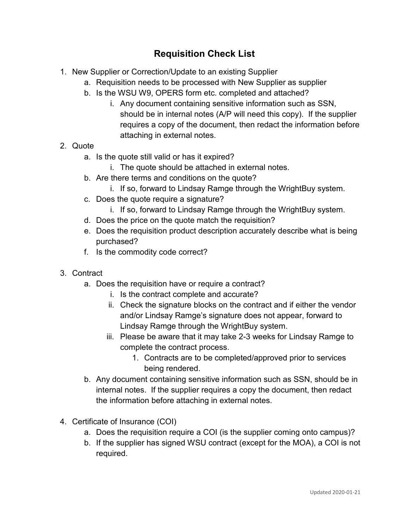## **Requisition Check List**

- 1. New Supplier or Correction/Update to an existing Supplier
	- a. Requisition needs to be processed with New Supplier as supplier
	- b. Is the WSU W9, OPERS form etc. completed and attached?
		- i. Any document containing sensitive information such as SSN, should be in internal notes (A/P will need this copy). If the supplier requires a copy of the document, then redact the information before attaching in external notes.
- 2. Quote
	- a. Is the quote still valid or has it expired?
		- i. The quote should be attached in external notes.
	- b. Are there terms and conditions on the quote?
		- i. If so, forward to Lindsay Ramge through the WrightBuy system.
	- c. Does the quote require a signature?
		- i. If so, forward to Lindsay Ramge through the WrightBuy system.
	- d. Does the price on the quote match the requisition?
	- e. Does the requisition product description accurately describe what is being purchased?
	- f. Is the commodity code correct?
- 3. Contract
	- a. Does the requisition have or require a contract?
		- i. Is the contract complete and accurate?
		- ii. Check the signature blocks on the contract and if either the vendor and/or Lindsay Ramge's signature does not appear, forward to Lindsay Ramge through the WrightBuy system.
		- iii. Please be aware that it may take 2-3 weeks for Lindsay Ramge to complete the contract process.
			- 1. Contracts are to be completed/approved prior to services being rendered.
	- b. Any document containing sensitive information such as SSN, should be in internal notes. If the supplier requires a copy the document, then redact the information before attaching in external notes.
- 4. Certificate of Insurance (COI)
	- a. Does the requisition require a COI (is the supplier coming onto campus)?
	- b. If the supplier has signed WSU contract (except for the MOA), a COI is not required.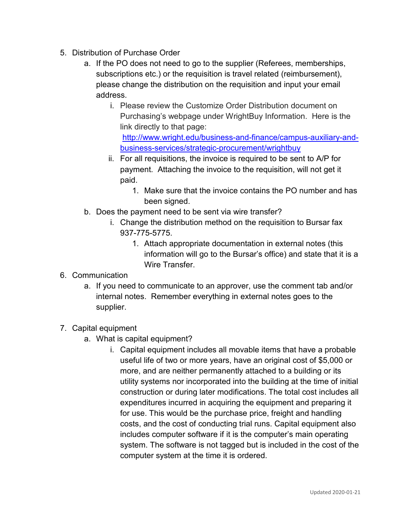- 5. Distribution of Purchase Order
	- a. If the PO does not need to go to the supplier (Referees, memberships, subscriptions etc.) or the requisition is travel related (reimbursement), please change the distribution on the requisition and input your email address.
		- i. Please review the Customize Order Distribution document on Purchasing's webpage under WrightBuy Information. Here is the link directly to that page:

[http://www.wright.edu/business-and-finance/campus-auxiliary-and](http://www.wright.edu/business-and-finance/campus-auxiliary-and-business-services/strategic-procurement/wrightbuy)[business-services/strategic-procurement/wrightbuy](http://www.wright.edu/business-and-finance/campus-auxiliary-and-business-services/strategic-procurement/wrightbuy)

- ii. For all requisitions, the invoice is required to be sent to A/P for payment. Attaching the invoice to the requisition, will not get it paid.
	- 1. Make sure that the invoice contains the PO number and has been signed.
- b. Does the payment need to be sent via wire transfer?
	- i. Change the distribution method on the requisition to Bursar fax 937-775-5775.
		- 1. Attach appropriate documentation in external notes (this information will go to the Bursar's office) and state that it is a Wire Transfer.
- 6. Communication
	- a. If you need to communicate to an approver, use the comment tab and/or internal notes. Remember everything in external notes goes to the supplier.
- 7. Capital equipment
	- a. What is capital equipment?
		- i. Capital equipment includes all movable items that have a probable useful life of two or more years, have an original cost of \$5,000 or more, and are neither permanently attached to a building or its utility systems nor incorporated into the building at the time of initial construction or during later modifications. The total cost includes all expenditures incurred in acquiring the equipment and preparing it for use. This would be the purchase price, freight and handling costs, and the cost of conducting trial runs. Capital equipment also includes computer software if it is the computer's main operating system. The software is not tagged but is included in the cost of the computer system at the time it is ordered.